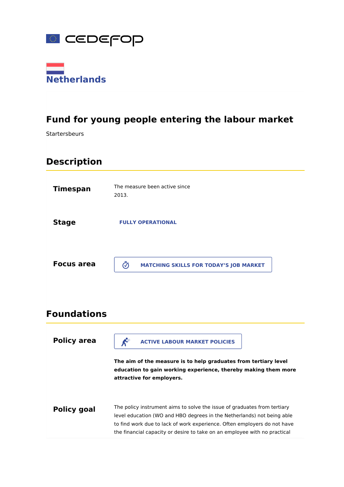



# **Fund for young people entering the labour market**

Startersbeurs

# **Description**

| <b>Timespan</b>   | The measure been active since<br>2013.             |
|-------------------|----------------------------------------------------|
| <b>Stage</b>      | <b>FULLY OPERATIONAL</b>                           |
| <b>Focus area</b> | ග<br><b>MATCHING SKILLS FOR TODAY'S JOB MARKET</b> |

# **Foundations**

| <b>Policy area</b> | <b>ACTIVE LABOUR MARKET POLICIES</b><br>The aim of the measure is to help graduates from tertiary level<br>education to gain working experience, thereby making them more<br>attractive for employers.                                                                                                      |
|--------------------|-------------------------------------------------------------------------------------------------------------------------------------------------------------------------------------------------------------------------------------------------------------------------------------------------------------|
| <b>Policy goal</b> | The policy instrument aims to solve the issue of graduates from tertiary<br>level education (WO and HBO degrees in the Netherlands) not being able<br>to find work due to lack of work experience. Often employers do not have<br>the financial capacity or desire to take on an employee with no practical |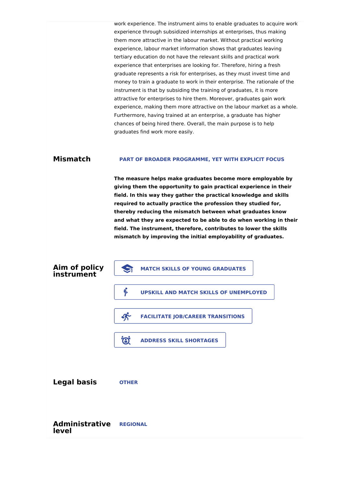work experience. The instrument aims to enable graduates to acquire work experience through subsidized internships at enterprises, thus making them more attractive in the labour market. Without practical working experience, labour market information shows that graduates leaving tertiary education do not have the relevant skills and practical work experience that enterprises are looking for. Therefore, hiring a fresh graduate represents a risk for enterprises, as they must invest time and money to train a graduate to work in their enterprise. The rationale of the instrument is that by subsiding the training of graduates, it is more attractive for enterprises to hire them. Moreover, graduates gain work experience, making them more attractive on the labour market as a whole. Furthermore, having trained at an enterprise, a graduate has higher chances of being hired there. Overall, the main purpose is to help graduates find work more easily.

### **Mismatch PART OF BROADER PROGRAMME, YET WITH EXPLICIT FOCUS**

**The measure helps make graduates become more employable by giving them the opportunity to gain practical experience in their field. In this way they gather the practical knowledge and skills required to actually practice the profession they studied for, thereby reducing the mismatch between what graduates know and what they are expected to be able to do when working in their field. The instrument, therefore, contributes to lower the skills mismatch by improving the initial employability of graduates.**

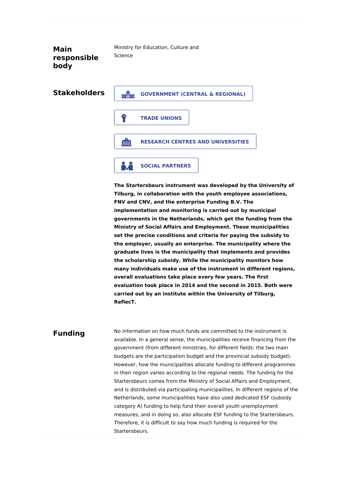**Main responsible body**

Ministry for Education, Culture and Science

**Stakeholders**

 **GOVERNMENT (CENTRAL & REGIONAL) TRADE UNIONS RESEARCH CENTRES AND UNIVERSITIES SOCIAL PARTNERS**

**The Startersbeurs instrument was developed by the University of Tilburg, in collaboration with the youth employee associations, FNV and CNV, and the enterprise Funding B.V. The implementation and monitoring is carried out by municipal governments in the Netherlands, which get the funding from the Ministry of Social Affairs and Employment. These municipalities set the precise conditions and criteria for paying the subsidy to the employer, usually an enterprise. The municipality where the graduate lives is the municipality that implements and provides the scholarship subsidy. While the municipality monitors how many individuals make use of the instrument in different regions, overall evaluations take place every few years. The first evaluation took place in 2014 and the second in 2015. Both were carried out by an institute within the University of Tilburg, ReflecT.**

### **Funding**

No information on how much funds are committed to the instrument is available. In a general sense, the municipalities receive financing from the government (from different ministries, for different fields: the two main budgets are the participation budget and the provincial subsidy budget). However, how the municipalities allocate funding to different programmes in their region varies according to the regional needs. The funding for the Startersbeurs comes from the Ministry of Social Affairs and Employment, and is distributed via participating municipalities. In different regions of the Netherlands, some municipalities have also used dedicated ESF (subsidy category A) funding to help fund their overall youth unemployment measures, and in doing so, also allocate ESF funding to the Startersbeurs. Therefore, it is difficult to say how much funding is required for the Startersbeurs.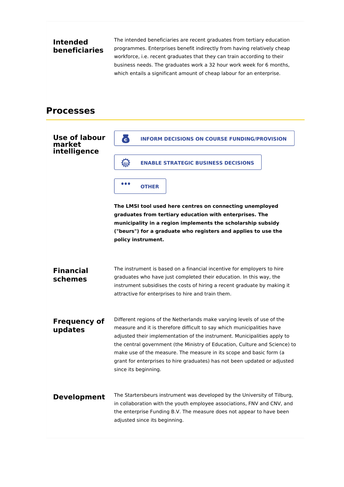## **Intended beneficiaries**

The intended beneficiaries are recent graduates from tertiary education programmes. Enterprises benefit indirectly from having relatively cheap workforce, i.e. recent graduates that they can train according to their business needs. The graduates work a 32 hour work week for 6 months, which entails a significant amount of cheap labour for an enterprise.

## **Processes**

## **Use of labour market intelligence The LMSI tool used here centres on connecting unemployed graduates from tertiary education with enterprises. The municipality in a region implements the scholarship subsidy ("beurs") for a graduate who registers and applies to use the policy instrument. Financial schemes** The instrument is based on a financial incentive for employers to hire graduates who have just completed their education. In this way, the instrument subsidises the costs of hiring a recent graduate by making it attractive for enterprises to hire and train them. **Frequency of updates** Different regions of the Netherlands make varying levels of use of the measure and it is therefore difficult to say which municipalities have adjusted their implementation of the instrument. Municipalities apply to the central government (the Ministry of Education, Culture and Science) to make use of the measure. The measure in its scope and basic form (a grant for enterprises to hire graduates) has not been updated or adjusted since its beginning. **Development** The Startersbeurs instrument was developed by the University of Tilburg, in collaboration with the youth employee associations, FNV and CNV, and the enterprise Funding B.V. The measure does not appear to have been adjusted since its beginning. **INFORM DECISIONS ON COURSE FUNDING/PROVISION ENABLE STRATEGIC BUSINESS DECISIONS OTHER**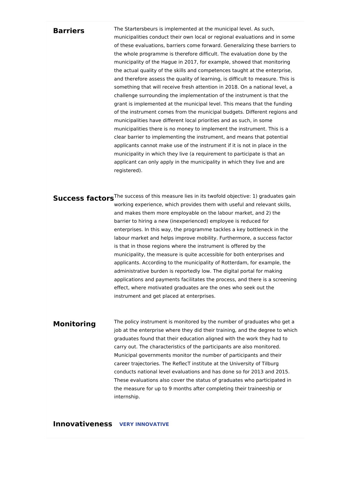### **Barriers**

The Startersbeurs is implemented at the municipal level. As such, municipalities conduct their own local or regional evaluations and in some of these evaluations, barriers come forward. Generalizing these barriers to the whole programme is therefore difficult. The evaluation done by the municipality of the Hague in 2017, for example, showed that monitoring the actual quality of the skills and competences taught at the enterprise, and therefore assess the quality of learning, is difficult to measure. This is something that will receive fresh attention in 2018. On a national level, a challenge surrounding the implementation of the instrument is that the grant is implemented at the municipal level. This means that the funding of the instrument comes from the municipal budgets. Different regions and municipalities have different local priorities and as such, in some municipalities there is no money to implement the instrument. This is a clear barrier to implementing the instrument, and means that potential applicants cannot make use of the instrument if it is not in place in the municipality in which they live (a requirement to participate is that an applicant can only apply in the municipality in which they live and are registered).

**Success factors**<sup>The success of this measure lies in its twofold objective: 1) graduates gain</sup> working experience, which provides them with useful and relevant skills, and makes them more employable on the labour market, and 2) the barrier to hiring a new (inexperienced) employee is reduced for enterprises. In this way, the programme tackles a key bottleneck in the labour market and helps improve mobility. Furthermore, a success factor is that in those regions where the instrument is offered by the municipality, the measure is quite accessible for both enterprises and applicants. According to the municipality of Rotterdam, for example, the administrative burden is reportedly low. The digital portal for making applications and payments facilitates the process, and there is a screening effect, where motivated graduates are the ones who seek out the instrument and get placed at enterprises.

### **Monitoring**

The policy instrument is monitored by the number of graduates who get a job at the enterprise where they did their training, and the degree to which graduates found that their education aligned with the work they had to carry out. The characteristics of the participants are also monitored. Municipal governments monitor the number of participants and their career trajectories. The ReflecT institute at the University of Tilburg conducts national level evaluations and has done so for 2013 and 2015. These evaluations also cover the status of graduates who participated in the measure for up to 9 months after completing their traineeship or internship.

**Innovativeness VERY INNOVATIVE**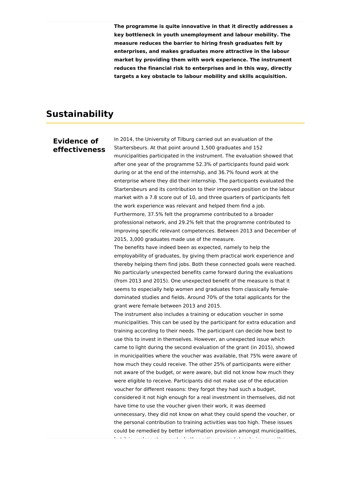**The programme is quite innovative in that it directly addresses a key bottleneck in youth unemployment and labour mobility. The measure reduces the barrier to hiring fresh graduates felt by enterprises, and makes graduates more attractive in the labour market by providing them with work experience. The instrument reduces the financial risk to enterprises and in this way, directly targets a key obstacle to labour mobility and skills acquisition.**

## **Sustainability**

### **Evidence of effectiveness**

In 2014, the University of Tilburg carried out an evaluation of the Startersbeurs. At that point around 1,500 graduates and 152 municipalities participated in the instrument. The evaluation showed that after one year of the programme 52.3% of participants found paid work during or at the end of the internship, and 36.7% found work at the enterprise where they did their internship. The participants evaluated the Startersbeurs and its contribution to their improved position on the labour market with a 7.8 score out of 10, and three quarters of participants felt the work experience was relevant and helped them find a job. Furthermore, 37.5% felt the programme contributed to a broader professional network, and 29.2% felt that the programme contributed to improving specific relevant competences. Between 2013 and December of 2015, 3,000 graduates made use of the measure. The benefits have indeed been as expected, namely to help the employability of graduates, by giving them practical work experience and thereby helping them find jobs. Both these connected goals were reached. No particularly unexpected benefits came forward during the evaluations (from 2013 and 2015). One unexpected benefit of the measure is that it seems to especially help women and graduates from classically femaledominated studies and fields. Around 70% of the total applicants for the grant were female between 2013 and 2015. The instrument also includes a training or education voucher in some municipalities. This can be used by the participant for extra education and training according to their needs. The participant can decide how best to use this to invest in themselves. However, an unexpected issue which came to light during the second evaluation of the grant (in 2015), showed in municipalities where the voucher was available, that 75% were aware of how much they could receive. The other 25% of participants were either not aware of the budget, or were aware, but did not know how much they were eligible to receive. Participants did not make use of the education voucher for different reasons: they forgot they had such a budget, considered it not high enough for a real investment in themselves, did not have time to use the voucher given their work, it was deemed unnecessary, they did not know on what they could spend the voucher, or the personal contribution to training activities was too high. These issues could be remedied by better information provision amongst municipalities, but it is unclear at present whether actions were taken to improve the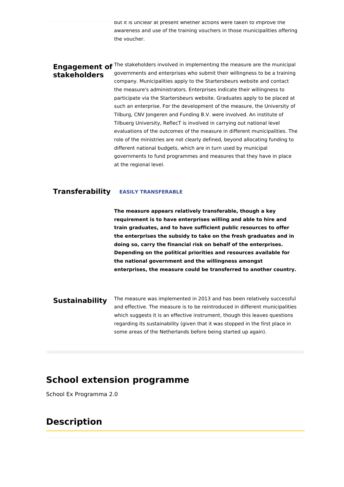but it is unclear at present whether actions were taken to improve the awareness and use of the training vouchers in those municipalities offering the voucher.

# **stakeholders**

**Engagement of** <sup>The stakeholders involved in implementing the measure are the municipal</sup> governments and enterprises who submit their willingness to be a training company. Municipalities apply to the Startersbeurs website and contact the measure's administrators. Enterprises indicate their willingness to participate via the Startersbeurs website. Graduates apply to be placed at such an enterprise. For the development of the measure, the University of Tilburg, CNV Jongeren and Funding B.V. were involved. An institute of Tilbuerg University, ReflecT is involved in carrying out national level evaluations of the outcomes of the measure in different municipalities. The role of the ministries are not clearly defined, beyond allocating funding to different national budgets, which are in turn used by municipal governments to fund programmes and measures that they have in place at the regional level.

### **Transferability EASILY TRANSFERABLE**

**The measure appears relatively transferable, though a key requirement is to have enterprises willing and able to hire and train graduates, and to have sufficient public resources to offer the enterprises the subsidy to take on the fresh graduates and in doing so, carry the financial risk on behalf of the enterprises. Depending on the political priorities and resources available for the national government and the willingness amongst enterprises, the measure could be transferred to another country.**

### **Sustainability** The measure was implemented in 2013 and has been relatively successful and effective. The measure is to be reintroduced in different municipalities which suggests it is an effective instrument, though this leaves questions regarding its sustainability (given that it was stopped in the first place in some areas of the Netherlands before being started up again).

## **School extension programme**

School Ex Programma 2.0

## **Description**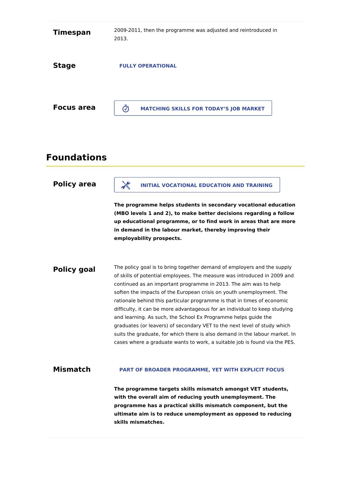| <b>Timespan</b>   | 2009-2011, then the programme was adjusted and reintroduced in<br>2013. |
|-------------------|-------------------------------------------------------------------------|
| <b>Stage</b>      | <b>FULLY OPERATIONAL</b>                                                |
| <b>Focus area</b> | ග<br><b>MATCHING SKILLS FOR TODAY'S JOB MARKET</b>                      |

# **Foundations**

| <b>Policy area</b> | <b>INITIAL VOCATIONAL EDUCATION AND TRAINING</b>                                                                                                                                                                                                                                                                                                                                                                                                                                                                                                                                                                                                                                                                                                                    |
|--------------------|---------------------------------------------------------------------------------------------------------------------------------------------------------------------------------------------------------------------------------------------------------------------------------------------------------------------------------------------------------------------------------------------------------------------------------------------------------------------------------------------------------------------------------------------------------------------------------------------------------------------------------------------------------------------------------------------------------------------------------------------------------------------|
|                    | The programme helps students in secondary vocational education<br>(MBO levels 1 and 2), to make better decisions regarding a follow<br>up educational programme, or to find work in areas that are more<br>in demand in the labour market, thereby improving their<br>employability prospects.                                                                                                                                                                                                                                                                                                                                                                                                                                                                      |
| <b>Policy goal</b> | The policy goal is to bring together demand of employers and the supply<br>of skills of potential employees. The measure was introduced in 2009 and<br>continued as an important programme in 2013. The aim was to help<br>soften the impacts of the European crisis on youth unemployment. The<br>rationale behind this particular programme is that in times of economic<br>difficulty, it can be more advantageous for an individual to keep studying<br>and learning. As such, the School Ex Programme helps guide the<br>graduates (or leavers) of secondary VET to the next level of study which<br>suits the graduate, for which there is also demand in the labour market. In<br>cases where a graduate wants to work, a suitable job is found via the PES. |
| <b>Mismatch</b>    | PART OF BROADER PROGRAMME, YET WITH EXPLICIT FOCUS                                                                                                                                                                                                                                                                                                                                                                                                                                                                                                                                                                                                                                                                                                                  |
|                    | The programme targets skills mismatch amongst VET students,<br>with the overall aim of reducing youth unemployment. The<br>programme has a practical skills mismatch component, but the<br>ultimate aim is to reduce unemployment as opposed to reducing<br>skills mismatches.                                                                                                                                                                                                                                                                                                                                                                                                                                                                                      |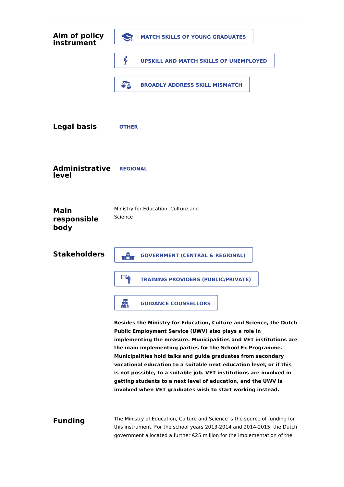| Aim of policy<br>instrument        | $\mathbf{S}$<br><b>MATCH SKILLS OF YOUNG GRADUATES</b>                                                                                                                                                                                                                                                                                                                                                                                                                                                                                                                                                      |
|------------------------------------|-------------------------------------------------------------------------------------------------------------------------------------------------------------------------------------------------------------------------------------------------------------------------------------------------------------------------------------------------------------------------------------------------------------------------------------------------------------------------------------------------------------------------------------------------------------------------------------------------------------|
|                                    | B<br>UPSKILL AND MATCH SKILLS OF UNEMPLOYED                                                                                                                                                                                                                                                                                                                                                                                                                                                                                                                                                                 |
|                                    | A <sup>2</sup><br><b>BROADLY ADDRESS SKILL MISMATCH</b>                                                                                                                                                                                                                                                                                                                                                                                                                                                                                                                                                     |
|                                    |                                                                                                                                                                                                                                                                                                                                                                                                                                                                                                                                                                                                             |
| <b>Legal basis</b>                 | <b>OTHER</b>                                                                                                                                                                                                                                                                                                                                                                                                                                                                                                                                                                                                |
|                                    |                                                                                                                                                                                                                                                                                                                                                                                                                                                                                                                                                                                                             |
| <b>Administrative</b><br>level     | <b>REGIONAL</b>                                                                                                                                                                                                                                                                                                                                                                                                                                                                                                                                                                                             |
|                                    |                                                                                                                                                                                                                                                                                                                                                                                                                                                                                                                                                                                                             |
| <b>Main</b><br>responsible<br>body | Ministry for Education, Culture and<br>Science                                                                                                                                                                                                                                                                                                                                                                                                                                                                                                                                                              |
| <b>Stakeholders</b>                | min<br>William<br><b>GOVERNMENT (CENTRAL &amp; REGIONAL)</b>                                                                                                                                                                                                                                                                                                                                                                                                                                                                                                                                                |
|                                    | <b>TRAINING PROVIDERS (PUBLIC/PRIVATE)</b>                                                                                                                                                                                                                                                                                                                                                                                                                                                                                                                                                                  |
|                                    | 靐<br><b>GUIDANCE COUNSELLORS</b>                                                                                                                                                                                                                                                                                                                                                                                                                                                                                                                                                                            |
|                                    | Besides the Ministry for Education, Culture and Science, the Dutch<br>Public Employment Service (UWV) also plays a role in<br>implementing the measure. Municipalities and VET institutions are<br>the main implementing parties for the School Ex Programme.<br>Municipalities hold talks and guide graduates from secondary<br>vocational education to a suitable next education level, or if this<br>is not possible, to a suitable job. VET institutions are involved in<br>getting students to a next level of education, and the UWV is<br>involved when VET graduates wish to start working instead. |
| <b>Funding</b>                     | The Ministry of Education, Culture and Science is the source of funding for<br>this instrument. For the school years 2013-2014 and 2014-2015, the Dutch<br>government allocated a further €25 million for the implementation of the                                                                                                                                                                                                                                                                                                                                                                         |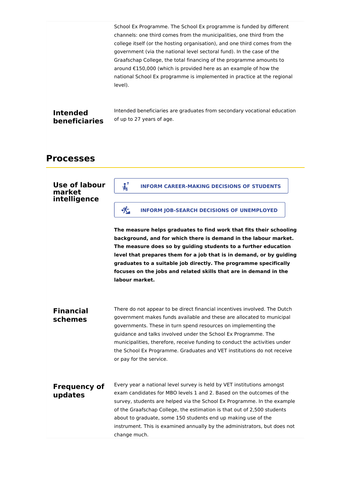|                                  | School Ex Programme. The School Ex programme is funded by different<br>channels: one third comes from the municipalities, one third from the<br>college itself (or the hosting organisation), and one third comes from the<br>government (via the national level sectoral fund). In the case of the<br>Graafschap College, the total financing of the programme amounts to<br>around €150,000 (which is provided here as an example of how the<br>national School Ex programme is implemented in practice at the regional<br>level). |
|----------------------------------|--------------------------------------------------------------------------------------------------------------------------------------------------------------------------------------------------------------------------------------------------------------------------------------------------------------------------------------------------------------------------------------------------------------------------------------------------------------------------------------------------------------------------------------|
| <b>Intended</b><br>beneficiaries | Intended beneficiaries are graduates from secondary vocational education<br>of up to 27 years of age.                                                                                                                                                                                                                                                                                                                                                                                                                                |
| <b>Processes</b>                 |                                                                                                                                                                                                                                                                                                                                                                                                                                                                                                                                      |
| <b>Use of labour</b><br>market   | ? و<br><b>INFORM CAREER-MAKING DECISIONS OF STUDENTS</b><br>$\sqrt{1}$                                                                                                                                                                                                                                                                                                                                                                                                                                                               |
| intelligence                     | 禿<br><b>INFORM JOB-SEARCH DECISIONS OF UNEMPLOYED</b>                                                                                                                                                                                                                                                                                                                                                                                                                                                                                |
|                                  | The measure helps graduates to find work that fits their schooling<br>background, and for which there is demand in the labour market.<br>The measure does so by guiding students to a further education<br>level that prepares them for a job that is in demand, or by guiding<br>graduates to a suitable job directly. The programme specifically<br>focuses on the jobs and related skills that are in demand in the<br>labour market.                                                                                             |
| <b>Financial</b><br>schemes      | There do not appear to be direct financial incentives involved. The Dutch<br>government makes funds available and these are allocated to municipal<br>governments. These in turn spend resources on implementing the<br>guidance and talks involved under the School Ex Programme. The<br>municipalities, therefore, receive funding to conduct the activities under<br>the School Ex Programme. Graduates and VET institutions do not receive<br>or pay for the service.                                                            |
| <b>Frequency of</b><br>updates   | Every year a national level survey is held by VET institutions amongst<br>exam candidates for MBO levels 1 and 2. Based on the outcomes of the<br>survey, students are helped via the School Ex Programme. In the example<br>of the Graafschap College, the estimation is that out of 2,500 students<br>about to graduate, some 150 students end up making use of the<br>instrument. This is examined annually by the administrators, but does not<br>change much.                                                                   |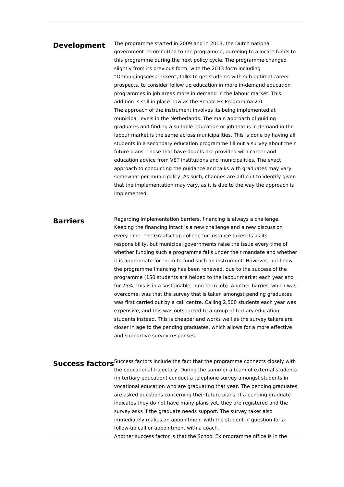### **Development** The programme started in 2009 and in 2013, the Dutch national

government recommitted to the programme, agreeing to allocate funds to this programme during the next policy cycle. The programme changed slightly from its previous form, with the 2013 form including "Ombuigingsgesprekken", talks to get students with sub-optimal career prospects, to consider follow up education in more in-demand education programmes in job areas more in demand in the labour market. This addition is still in place now as the School Ex Programma 2.0. The approach of the instrument involves its being implemented at municipal levels in the Netherlands. The main approach of guiding graduates and finding a suitable education or job that is in demand in the labour market is the same across municipalities. This is done by having all students in a secondary education programme fill out a survey about their future plans. Those that have doubts are provided with career and education advice from VET institutions and municipalities. The exact approach to conducting the guidance and talks with graduates may vary somewhat per municipality. As such, changes are difficult to identify given that the implementation may vary, as it is due to the way the approach is implemented.

### **Barriers**

Regarding implementation barriers, financing is always a challenge. Keeping the financing intact is a new challenge and a new discussion every time. The Graafschap college for instance takes its as its responsibility, but municipal governments raise the issue every time of whether funding such a programme falls under their mandate and whether it is appropriate for them to fund such an instrument. However, until now the programme financing has been renewed, due to the success of the programme (150 students are helped to the labour market each year and for 75%, this is in a sustainable, long term job). Another barrier, which was overcome, was that the survey that is taken amongst pending graduates was first carried out by a call centre. Calling 2,500 students each year was expensive, and this was outsourced to a group of tertiary education students instead. This is cheaper and works well as the survey takers are closer in age to the pending graduates, which allows for a more effective and supportive survey responses.

**Success factors**<sup>Success factors include the fact that the programme connects closely with</sup> the educational trajectory. During the summer a team of external students (in tertiary education) conduct a telephone survey amongst students in vocational education who are graduating that year. The pending graduates are asked questions concerning their future plans. If a pending graduate indicates they do not have many plans yet, they are registered and the survey asks if the graduate needs support. The survey taker also immediately makes an appointment with the student in question for a follow-up call or appointment with a coach. Another success factor is that the School Ex programme office is in the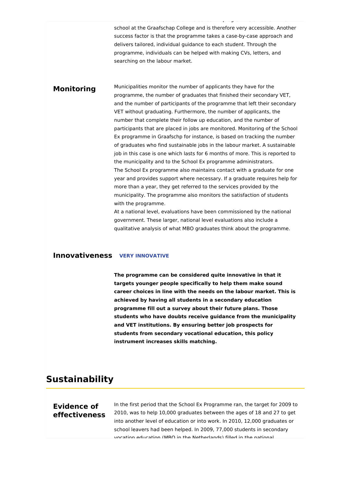school at the Graafschap College and is therefore very accessible. Another success factor is that the programme takes a case-by-case approach and delivers tailored, individual guidance to each student. Through the programme, individuals can be helped with making CVs, letters, and searching on the labour market.

Another success factor is that the School Ex programme office is in the

### **Monitoring**

Municipalities monitor the number of applicants they have for the programme, the number of graduates that finished their secondary VET, and the number of participants of the programme that left their secondary VET without graduating. Furthermore, the number of applicants, the number that complete their follow up education, and the number of participants that are placed in jobs are monitored. Monitoring of the School Ex programme in Graafschp for instance, is based on tracking the number of graduates who find sustainable jobs in the labour market. A sustainable job in this case is one which lasts for 6 months of more. This is reported to the municipality and to the School Ex programme administrators. The School Ex programme also maintains contact with a graduate for one year and provides support where necessary. If a graduate requires help for more than a year, they get referred to the services provided by the municipality. The programme also monitors the satisfaction of students with the programme.

At a national level, evaluations have been commissioned by the national government. These larger, national level evaluations also include a qualitative analysis of what MBO graduates think about the programme.

### **Innovativeness VERY INNOVATIVE**

**The programme can be considered quite innovative in that it targets younger people specifically to help them make sound career choices in line with the needs on the labour market. This is achieved by having all students in a secondary education programme fill out a survey about their future plans. Those students who have doubts receive guidance from the municipality and VET institutions. By ensuring better job prospects for students from secondary vocational education, this policy instrument increases skills matching.**

## **Sustainability**

## **Evidence of effectiveness**

In the first period that the School Ex Programme ran, the target for 2009 to 2010, was to help 10,000 graduates between the ages of 18 and 27 to get into another level of education or into work. In 2010, 12,000 graduates or school leavers had been helped. In 2009, 77,000 students in secondary vocation education (MBO in the Netherlands) filled in the national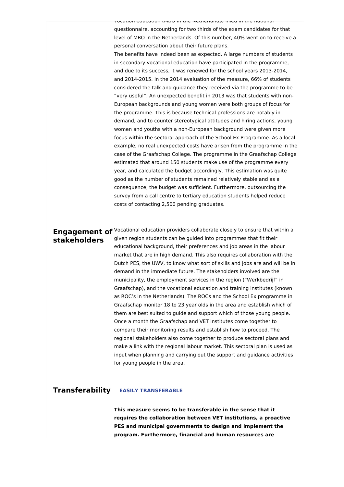vocation education (MBO in the Netherlands) filled in the national questionnaire, accounting for two thirds of the exam candidates for that level of MBO in the Netherlands. Of this number, 40% went on to receive a personal conversation about their future plans.

The benefits have indeed been as expected. A large numbers of students in secondary vocational education have participated in the programme, and due to its success, it was renewed for the school years 2013-2014, and 2014-2015. In the 2014 evaluation of the measure, 66% of students considered the talk and guidance they received via the programme to be "very useful". An unexpected benefit in 2013 was that students with non-European backgrounds and young women were both groups of focus for the programme. This is because technical professions are notably in demand, and to counter stereotypical attitudes and hiring actions, young women and youths with a non-European background were given more focus within the sectoral approach of the School Ex Programme. As a local example, no real unexpected costs have arisen from the programme in the case of the Graafschap College. The programme in the Graafschap College estimated that around 150 students make use of the programme every year, and calculated the budget accordingly. This estimation was quite good as the number of students remained relatively stable and as a consequence, the budget was sufficient. Furthermore, outsourcing the survey from a call centre to tertiary education students helped reduce costs of contacting 2,500 pending graduates.

# **stakeholders**

**Engagement of** Vocational education providers collaborate closely to ensure that within a given region students can be guided into programmes that fit their educational background, their preferences and job areas in the labour market that are in high demand. This also requires collaboration with the Dutch PES, the UWV, to know what sort of skills and jobs are and will be in demand in the immediate future. The stakeholders involved are the municipality, the employment services in the region ("Werkbedrijf" in Graafschap), and the vocational education and training institutes (known as ROC's in the Netherlands). The ROCs and the School Ex programme in Graafschap monitor 18 to 23 year olds in the area and establish which of them are best suited to guide and support which of those young people. Once a month the Graafschap and VET institutes come together to compare their monitoring results and establish how to proceed. The regional stakeholders also come together to produce sectoral plans and make a link with the regional labour market. This sectoral plan is used as input when planning and carrying out the support and guidance activities for young people in the area.

#### **Transferability EASILY TRANSFERABLE**

**This measure seems to be transferable in the sense that it requires the collaboration between VET institutions, a proactive PES and municipal governments to design and implement the program. Furthermore, financial and human resources are**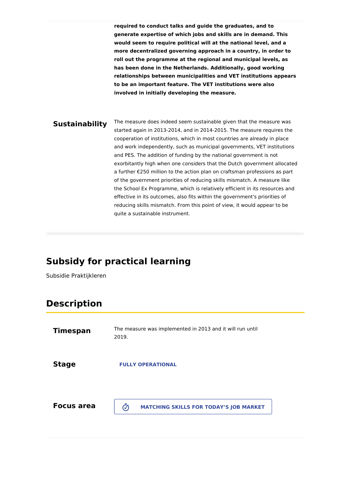**required to conduct talks and guide the graduates, and to generate expertise of which jobs and skills are in demand. This would seem to require political will at the national level, and a more decentralized governing approach in a country, in order to roll out the programme at the regional and municipal levels, as has been done in the Netherlands. Additionally, good working relationships between municipalities and VET institutions appears to be an important feature. The VET institutions were also involved in initially developing the measure.**

**Sustainability** The measure does indeed seem sustainable given that the measure was started again in 2013-2014, and in 2014-2015. The measure requires the cooperation of institutions, which in most countries are already in place and work independently, such as municipal governments, VET institutions and PES. The addition of funding by the national government is not exorbitantly high when one considers that the Dutch government allocated a further €250 million to the action plan on craftsman professions as part of the government priorities of reducing skills mismatch. A measure like the School Ex Programme, which is relatively efficient in its resources and effective in its outcomes, also fits within the government's priorities of reducing skills mismatch. From this point of view, it would appear to be quite a sustainable instrument.

# **Subsidy for practical learning**

Subsidie Praktijkleren

# **Description**

| <b>Timespan</b>   | The measure was implemented in 2013 and it will run until<br>2019.        |
|-------------------|---------------------------------------------------------------------------|
| <b>Stage</b>      | <b>FULLY OPERATIONAL</b>                                                  |
| <b>Focus area</b> | $\bar{\bm{\mathcal{O}}}$<br><b>MATCHING SKILLS FOR TODAY'S JOB MARKET</b> |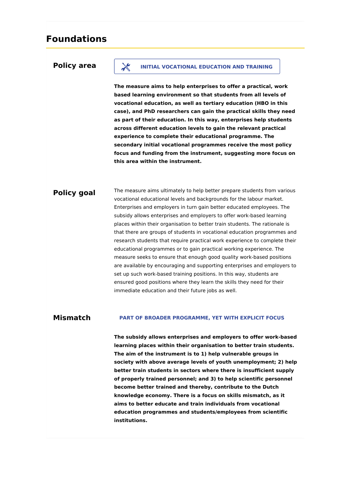## **Foundations**

### **Policy area**

### **INITIAL VOCATIONAL EDUCATION AND TRAINING**

**The measure aims to help enterprises to offer a practical, work based learning environment so that students from all levels of vocational education, as well as tertiary education (HBO in this case), and PhD researchers can gain the practical skills they need as part of their education. In this way, enterprises help students across different education levels to gain the relevant practical experience to complete their educational programme. The secondary initial vocational programmes receive the most policy focus and funding from the instrument, suggesting more focus on this area within the instrument.**

### **Policy goal**

The measure aims ultimately to help better prepare students from various vocational educational levels and backgrounds for the labour market. Enterprises and employers in turn gain better educated employees. The subsidy allows enterprises and employers to offer work-based learning places within their organisation to better train students. The rationale is that there are groups of students in vocational education programmes and research students that require practical work experience to complete their educational programmes or to gain practical working experience. The measure seeks to ensure that enough good quality work-based positions are available by encouraging and supporting enterprises and employers to set up such work-based training positions. In this way, students are ensured good positions where they learn the skills they need for their immediate education and their future jobs as well.

#### **Mismatch PART OF BROADER PROGRAMME, YET WITH EXPLICIT FOCUS**

**The subsidy allows enterprises and employers to offer work-based learning places within their organisation to better train students. The aim of the instrument is to 1) help vulnerable groups in society with above average levels of youth unemployment; 2) help better train students in sectors where there is insufficient supply of properly trained personnel; and 3) to help scientific personnel become better trained and thereby, contribute to the Dutch knowledge economy. There is a focus on skills mismatch, as it aims to better educate and train individuals from vocational education programmes and students/employees from scientific institutions.**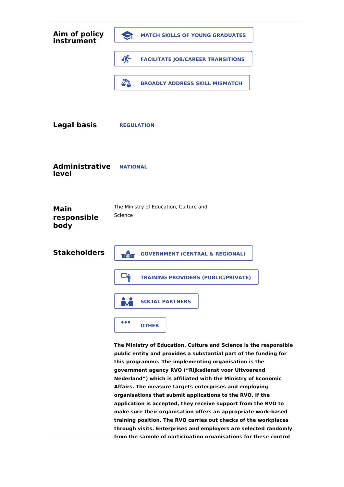| Aim of policy<br>instrument        | <b>MATCH SKILLS OF YOUNG GRADUATES</b>                                                                                                                                                                                                                                                                                                                                                                                                                                                                                                                                                                                                                                                                                                                                                   |
|------------------------------------|------------------------------------------------------------------------------------------------------------------------------------------------------------------------------------------------------------------------------------------------------------------------------------------------------------------------------------------------------------------------------------------------------------------------------------------------------------------------------------------------------------------------------------------------------------------------------------------------------------------------------------------------------------------------------------------------------------------------------------------------------------------------------------------|
|                                    | 尔<br><b>FACILITATE JOB/CAREER TRANSITIONS</b>                                                                                                                                                                                                                                                                                                                                                                                                                                                                                                                                                                                                                                                                                                                                            |
|                                    | $\Delta^2$<br><b>BROADLY ADDRESS SKILL MISMATCH</b>                                                                                                                                                                                                                                                                                                                                                                                                                                                                                                                                                                                                                                                                                                                                      |
|                                    |                                                                                                                                                                                                                                                                                                                                                                                                                                                                                                                                                                                                                                                                                                                                                                                          |
| <b>Legal basis</b>                 | <b>REGULATION</b>                                                                                                                                                                                                                                                                                                                                                                                                                                                                                                                                                                                                                                                                                                                                                                        |
|                                    |                                                                                                                                                                                                                                                                                                                                                                                                                                                                                                                                                                                                                                                                                                                                                                                          |
| <b>Administrative</b><br>level     | <b>NATIONAL</b>                                                                                                                                                                                                                                                                                                                                                                                                                                                                                                                                                                                                                                                                                                                                                                          |
| <b>Main</b><br>responsible<br>body | The Ministry of Education, Culture and<br>Science                                                                                                                                                                                                                                                                                                                                                                                                                                                                                                                                                                                                                                                                                                                                        |
| <b>Stakeholders</b>                | mân<br><b>GOVERNMENT (CENTRAL &amp; REGIONAL)</b>                                                                                                                                                                                                                                                                                                                                                                                                                                                                                                                                                                                                                                                                                                                                        |
|                                    | <b>LAN</b><br><b>TRAINING PROVIDERS (PUBLIC/PRIVATE)</b>                                                                                                                                                                                                                                                                                                                                                                                                                                                                                                                                                                                                                                                                                                                                 |
|                                    | <b>SOCIAL PARTNERS</b>                                                                                                                                                                                                                                                                                                                                                                                                                                                                                                                                                                                                                                                                                                                                                                   |
|                                    | $\bullet\bullet\bullet$<br><b>OTHER</b>                                                                                                                                                                                                                                                                                                                                                                                                                                                                                                                                                                                                                                                                                                                                                  |
|                                    | The Ministry of Education, Culture and Science is the responsible<br>public entity and provides a substantial part of the funding for<br>this programme. The implementing organisation is the<br>government agency RVO ("Rijksdienst voor Uitvoerend<br>Nederland") which is affiliated with the Ministry of Economic<br>Affairs. The measure targets enterprises and employing<br>organisations that submit applications to the RVO. If the<br>application is accepted, they receive support from the RVO to<br>make sure their organisation offers an appropriate work-based<br>training position. The RVO carries out checks of the workplaces<br>through visits. Enterprises and employers are selected randomly<br>from the sample of participating organisations for these control |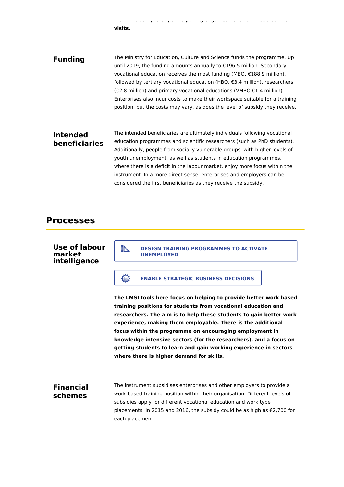**from the sample of participating organisations for these control visits.**

**Funding** The Ministry for Education, Culture and Science funds the programme. Up until 2019, the funding amounts annually to €196.5 million. Secondary vocational education receives the most funding (MBO, €188.9 million), followed by tertiary vocational education (HBO, €3.4 million), researchers (€2.8 million) and primary vocational educations (VMBO €1.4 million). Enterprises also incur costs to make their workspace suitable for a training position, but the costs may vary, as does the level of subsidy they receive.

## **Intended beneficiaries**

The intended beneficiaries are ultimately individuals following vocational education programmes and scientific researchers (such as PhD students). Additionally, people from socially vulnerable groups, with higher levels of youth unemployment, as well as students in education programmes, where there is a deficit in the labour market, enjoy more focus within the instrument. In a more direct sense, enterprises and employers can be considered the first beneficiaries as they receive the subsidy.

## **Processes**

### **Use of labour market intelligence**

**DESIGN TRAINING PROGRAMMES TO ACTIVATE UNEMPLOYED**

### **ENABLE STRATEGIC BUSINESS DECISIONS**

**The LMSI tools here focus on helping to provide better work based training positions for students from vocational education and researchers. The aim is to help these students to gain better work experience, making them employable. There is the additional focus within the programme on encouraging employment in knowledge intensive sectors (for the researchers), and a focus on getting students to learn and gain working experience in sectors where there is higher demand for skills.**

## **Financial schemes**

The instrument subsidises enterprises and other employers to provide a work-based training position within their organisation. Different levels of subsidies apply for different vocational education and work type placements. In 2015 and 2016, the subsidy could be as high as €2,700 for each placement.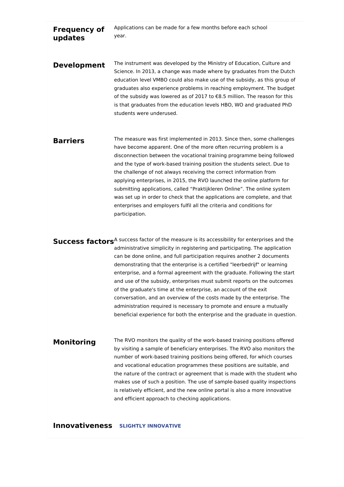**Frequency of updates** Applications can be made for a few months before each school year. **Development** The instrument was developed by the Ministry of Education, Culture and Science. In 2013, a change was made where by graduates from the Dutch education level VMBO could also make use of the subsidy, as this group of graduates also experience problems in reaching employment. The budget of the subsidy was lowered as of 2017 to €8.5 million. The reason for this is that graduates from the education levels HBO, WO and graduated PhD students were underused.

**Barriers** The measure was first implemented in 2013. Since then, some challenges have become apparent. One of the more often recurring problem is a disconnection between the vocational training programme being followed and the type of work-based training position the students select. Due to the challenge of not always receiving the correct information from applying enterprises, in 2015, the RVO launched the online platform for submitting applications, called "Praktijkleren Online". The online system was set up in order to check that the applications are complete, and that enterprises and employers fulfil all the criteria and conditions for participation.

**Success factors**<sup>A success factor of the measure is its accessibility for enterprises and the</sup> administrative simplicity in registering and participating. The application can be done online, and full participation requires another 2 documents demonstrating that the enterprise is a certified "leerbedrijf" or learning enterprise, and a formal agreement with the graduate. Following the start and use of the subsidy, enterprises must submit reports on the outcomes of the graduate's time at the enterprise, an account of the exit conversation, and an overview of the costs made by the enterprise. The administration required is necessary to promote and ensure a mutually beneficial experience for both the enterprise and the graduate in question.

### **Monitoring**

The RVO monitors the quality of the work-based training positions offered by visiting a sample of beneficiary enterprises. The RVO also monitors the number of work-based training positions being offered, for which courses and vocational education programmes these positions are suitable, and the nature of the contract or agreement that is made with the student who makes use of such a position. The use of sample-based quality inspections is relatively efficient, and the new online portal is also a more innovative and efficient approach to checking applications.

**Innovativeness SLIGHTLY INNOVATIVE**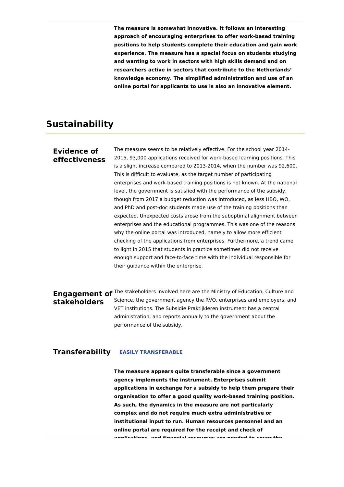**The measure is somewhat innovative. It follows an interesting approach of encouraging enterprises to offer work-based training positions to help students complete their education and gain work experience. The measure has a special focus on students studying and wanting to work in sectors with high skills demand and on researchers active in sectors that contribute to the Netherlands' knowledge economy. The simplified administration and use of an online portal for applicants to use is also an innovative element.**

## **Sustainability**

### **Evidence of effectiveness**

The measure seems to be relatively effective. For the school year 2014- 2015, 93,000 applications received for work-based learning positions. This is a slight increase compared to 2013-2014, when the number was 92,600. This is difficult to evaluate, as the target number of participating enterprises and work-based training positions is not known. At the national level, the government is satisfied with the performance of the subsidy, though from 2017 a budget reduction was introduced, as less HBO, WO, and PhD and post-doc students made use of the training positions than expected. Unexpected costs arose from the suboptimal alignment between enterprises and the educational programmes. This was one of the reasons why the online portal was introduced, namely to allow more efficient checking of the applications from enterprises. Furthermore, a trend came to light in 2015 that students in practice sometimes did not receive enough support and face-to-face time with the individual responsible for their guidance within the enterprise.

### **Engagement of** <sup>The stakeholders involved here are the Ministry of Education, Culture and</sup> **stakeholders** Science, the government agency the RVO, enterprises and employers, and VET institutions. The Subsidie Praktijkleren instrument has a central administration, and reports annually to the government about the performance of the subsidy.

### **Transferability EASILY TRANSFERABLE**

**The measure appears quite transferable since a government agency implements the instrument. Enterprises submit applications in exchange for a subsidy to help them prepare their organisation to offer a good quality work-based training position. As such, the dynamics in the measure are not particularly complex and do not require much extra administrative or institutional input to run. Human resources personnel and an online portal are required for the receipt and check of applications, and financial resources are needed to cover the**